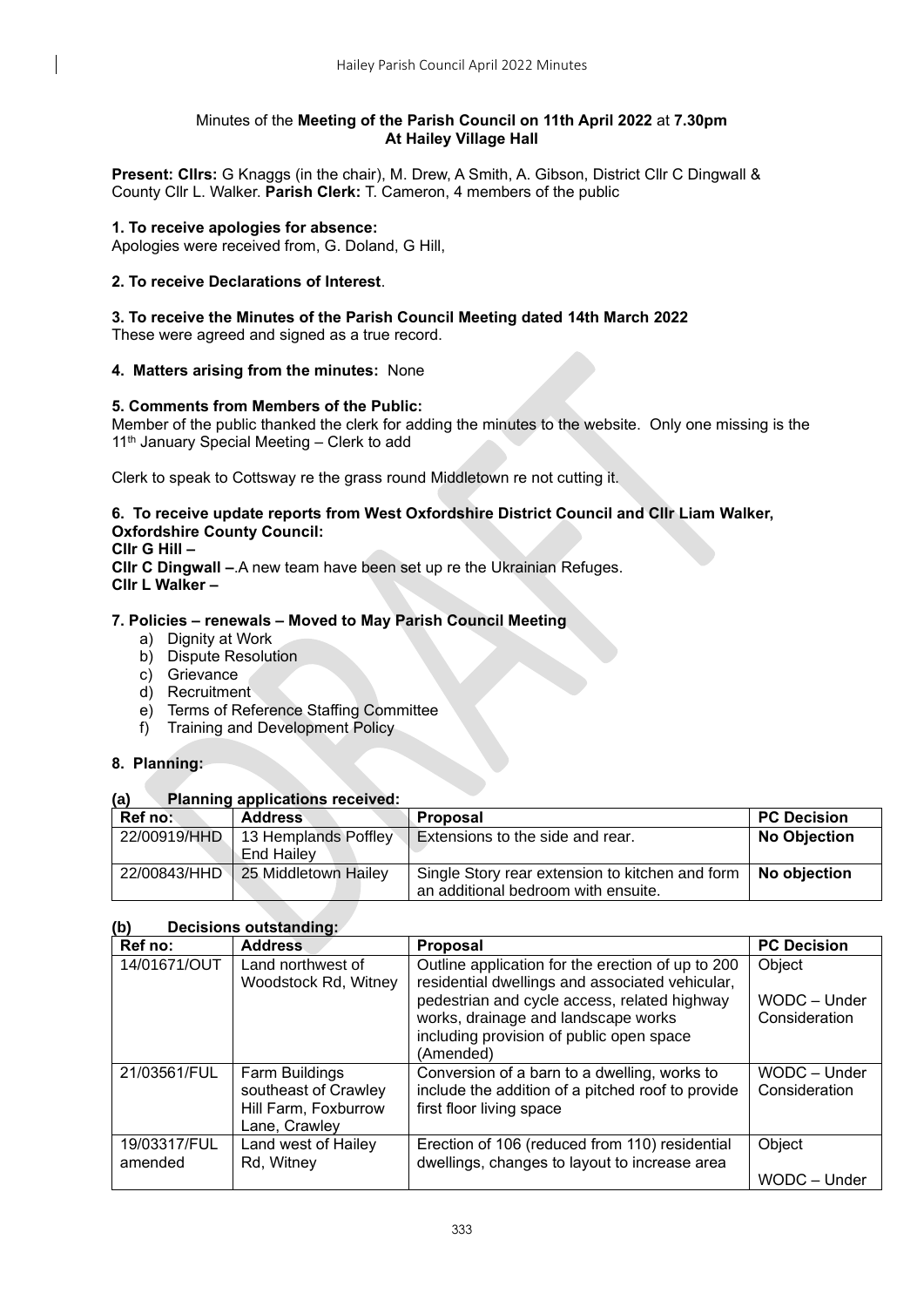## Minutes of the **Meeting of the Parish Council on 11th April 2022** at **7.30pm At Hailey Village Hall**

**Present: Cllrs:** G Knaggs (in the chair), M. Drew, A Smith, A. Gibson, District Cllr C Dingwall & County Cllr L. Walker. **Parish Clerk:** T. Cameron, 4 members of the public

## **1. To receive apologies for absence:**

Apologies were received from, G. Doland, G Hill,

## **2. To receive Declarations of Interest**.

# **3. To receive the Minutes of the Parish Council Meeting dated 14th March 2022**

These were agreed and signed as a true record.

# **4. Matters arising from the minutes:** None

# **5. Comments from Members of the Public:**

Member of the public thanked the clerk for adding the minutes to the website. Only one missing is the 11<sup>th</sup> January Special Meeting - Clerk to add

Clerk to speak to Cottsway re the grass round Middletown re not cutting it.

## **6. To receive update reports from West Oxfordshire District Council and Cllr Liam Walker, Oxfordshire County Council:**

**Cllr G Hill –**

**Cllr C Dingwall –**.A new team have been set up re the Ukrainian Refuges. **Cllr L Walker –**

## **7. Policies – renewals – Moved to May Parish Council Meeting**

- a) Dignity at Work
- b) Dispute Resolution
- c) Grievance
- d) Recruitment
- e) Terms of Reference Staffing Committee
- f) Training and Development Policy

## **8. Planning:**

## **(a) Planning applications received:**

| Ref no:      | <b>Address</b>                     | Proposal                                                                               | <b>PC Decision</b>  |
|--------------|------------------------------------|----------------------------------------------------------------------------------------|---------------------|
| 22/00919/HHD | 13 Hemplands Poffley<br>End Hailev | Extensions to the side and rear.                                                       | <b>No Objection</b> |
| 22/00843/HHD | 25 Middletown Hailey               | Single Story rear extension to kitchen and form<br>an additional bedroom with ensuite. | No objection        |

## **(b) Decisions outstanding:**

| Ref no:                 | <b>Address</b>                                                                  | <b>Proposal</b>                                                                                                                                                                                                                                      | <b>PC Decision</b>                      |
|-------------------------|---------------------------------------------------------------------------------|------------------------------------------------------------------------------------------------------------------------------------------------------------------------------------------------------------------------------------------------------|-----------------------------------------|
| 14/01671/OUT            | Land northwest of<br>Woodstock Rd, Witney                                       | Outline application for the erection of up to 200<br>residential dwellings and associated vehicular,<br>pedestrian and cycle access, related highway<br>works, drainage and landscape works<br>including provision of public open space<br>(Amended) | Object<br>WODC - Under<br>Consideration |
| 21/03561/FUL            | Farm Buildings<br>southeast of Crawley<br>Hill Farm, Foxburrow<br>Lane, Crawley | Conversion of a barn to a dwelling, works to<br>include the addition of a pitched roof to provide<br>first floor living space                                                                                                                        | WODC - Under<br>Consideration           |
| 19/03317/FUL<br>amended | Land west of Hailey<br>Rd, Witney                                               | Erection of 106 (reduced from 110) residential<br>dwellings, changes to layout to increase area                                                                                                                                                      | Object<br>WODC - Under                  |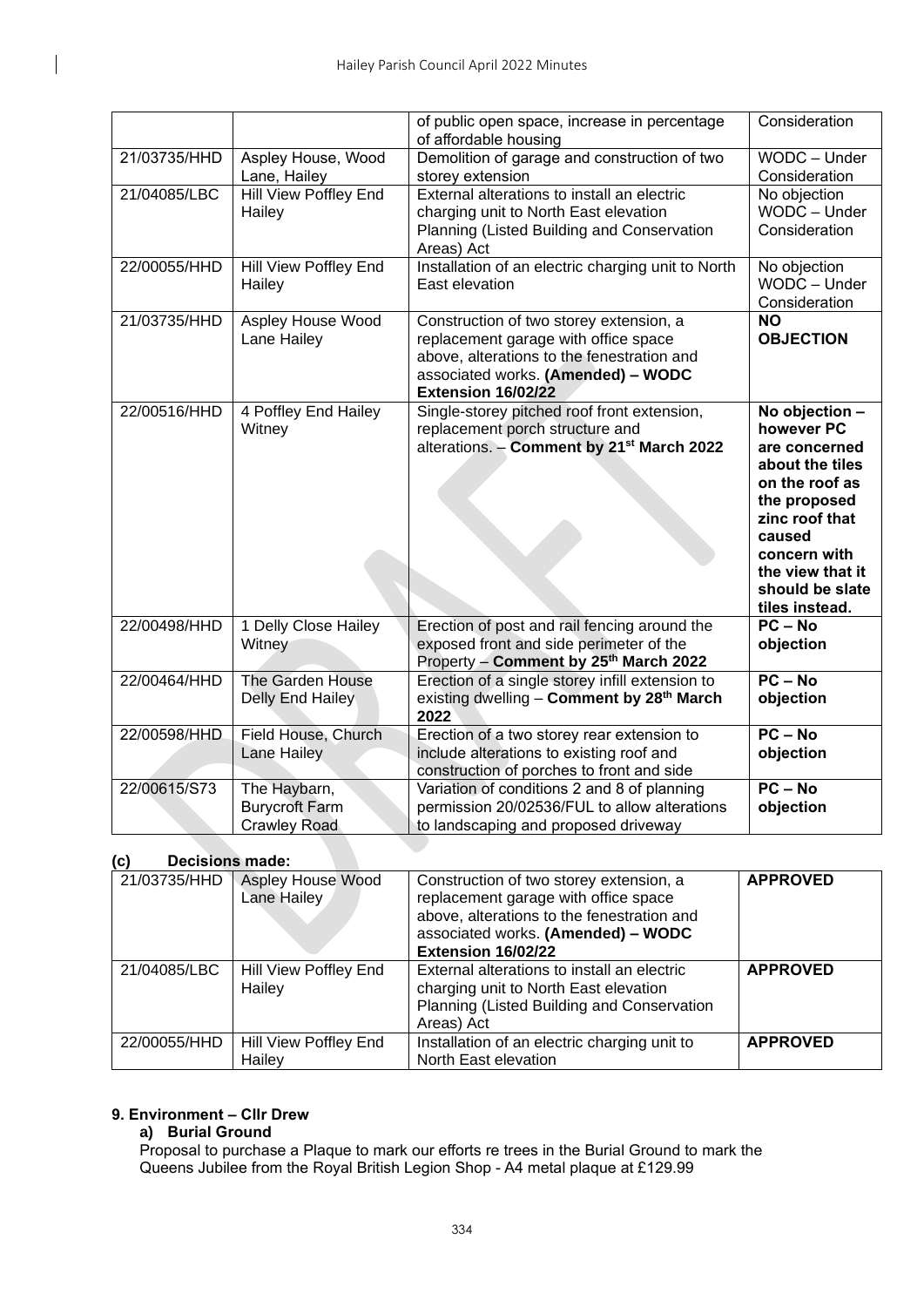|              |                                                              | of public open space, increase in percentage<br>of affordable housing                                                                                                                     | Consideration                                                                                                                                                                                           |
|--------------|--------------------------------------------------------------|-------------------------------------------------------------------------------------------------------------------------------------------------------------------------------------------|---------------------------------------------------------------------------------------------------------------------------------------------------------------------------------------------------------|
| 21/03735/HHD | Aspley House, Wood<br>Lane, Hailey                           | Demolition of garage and construction of two<br>storey extension                                                                                                                          | WODC - Under<br>Consideration                                                                                                                                                                           |
| 21/04085/LBC | Hill View Poffley End<br>Hailey                              | External alterations to install an electric<br>charging unit to North East elevation<br>Planning (Listed Building and Conservation<br>Areas) Act                                          | No objection<br>WODC - Under<br>Consideration                                                                                                                                                           |
| 22/00055/HHD | Hill View Poffley End<br>Hailey                              | Installation of an electric charging unit to North<br>East elevation                                                                                                                      | No objection<br>WODC - Under<br>Consideration                                                                                                                                                           |
| 21/03735/HHD | <b>Aspley House Wood</b><br>Lane Hailey                      | Construction of two storey extension, a<br>replacement garage with office space<br>above, alterations to the fenestration and<br>associated works. (Amended) - WODC<br>Extension 16/02/22 | $\overline{NO}$<br><b>OBJECTION</b>                                                                                                                                                                     |
| 22/00516/HHD | 4 Poffley End Hailey<br>Witney                               | Single-storey pitched roof front extension,<br>replacement porch structure and<br>alterations. - Comment by 21 <sup>st</sup> March 2022                                                   | No objection -<br>however PC<br>are concerned<br>about the tiles<br>on the roof as<br>the proposed<br>zinc roof that<br>caused<br>concern with<br>the view that it<br>should be slate<br>tiles instead. |
| 22/00498/HHD | 1 Delly Close Hailey<br>Witney                               | Erection of post and rail fencing around the<br>exposed front and side perimeter of the<br>Property - Comment by 25 <sup>th</sup> March 2022                                              | $PC - No$<br>objection                                                                                                                                                                                  |
| 22/00464/HHD | The Garden House<br>Delly End Hailey                         | Erection of a single storey infill extension to<br>existing dwelling - Comment by 28 <sup>th</sup> March<br>2022                                                                          | $PC - No$<br>objection                                                                                                                                                                                  |
| 22/00598/HHD | Field House, Church<br><b>Lane Hailey</b>                    | Erection of a two storey rear extension to<br>include alterations to existing roof and<br>construction of porches to front and side                                                       | $PC - No$<br>objection                                                                                                                                                                                  |
| 22/00615/S73 | The Haybarn,<br><b>Burycroft Farm</b><br><b>Crawley Road</b> | Variation of conditions 2 and 8 of planning<br>permission 20/02536/FUL to allow alterations<br>to landscaping and proposed driveway                                                       | $PC - No$<br>objection                                                                                                                                                                                  |

# **(c) Decisions made:**

| 21/03735/HHD | Aspley House Wood<br>Lane Hailey | Construction of two storey extension, a<br>replacement garage with office space<br>above, alterations to the fenestration and<br>associated works. (Amended) - WODC<br>Extension 16/02/22 | <b>APPROVED</b> |  |
|--------------|----------------------------------|-------------------------------------------------------------------------------------------------------------------------------------------------------------------------------------------|-----------------|--|
| 21/04085/LBC | Hill View Poffley End<br>Hailey  | External alterations to install an electric<br>charging unit to North East elevation<br>Planning (Listed Building and Conservation<br>Areas) Act                                          | <b>APPROVED</b> |  |
| 22/00055/HHD | Hill View Poffley End<br>Hailev  | Installation of an electric charging unit to<br>North East elevation                                                                                                                      | <b>APPROVED</b> |  |

#### **9. Environment – Cllr Drew**

# **a) Burial Ground**

Proposal to purchase a Plaque to mark our efforts re trees in the Burial Ground to mark the Queens Jubilee from the Royal British Legion Shop - A4 metal plaque at £129.99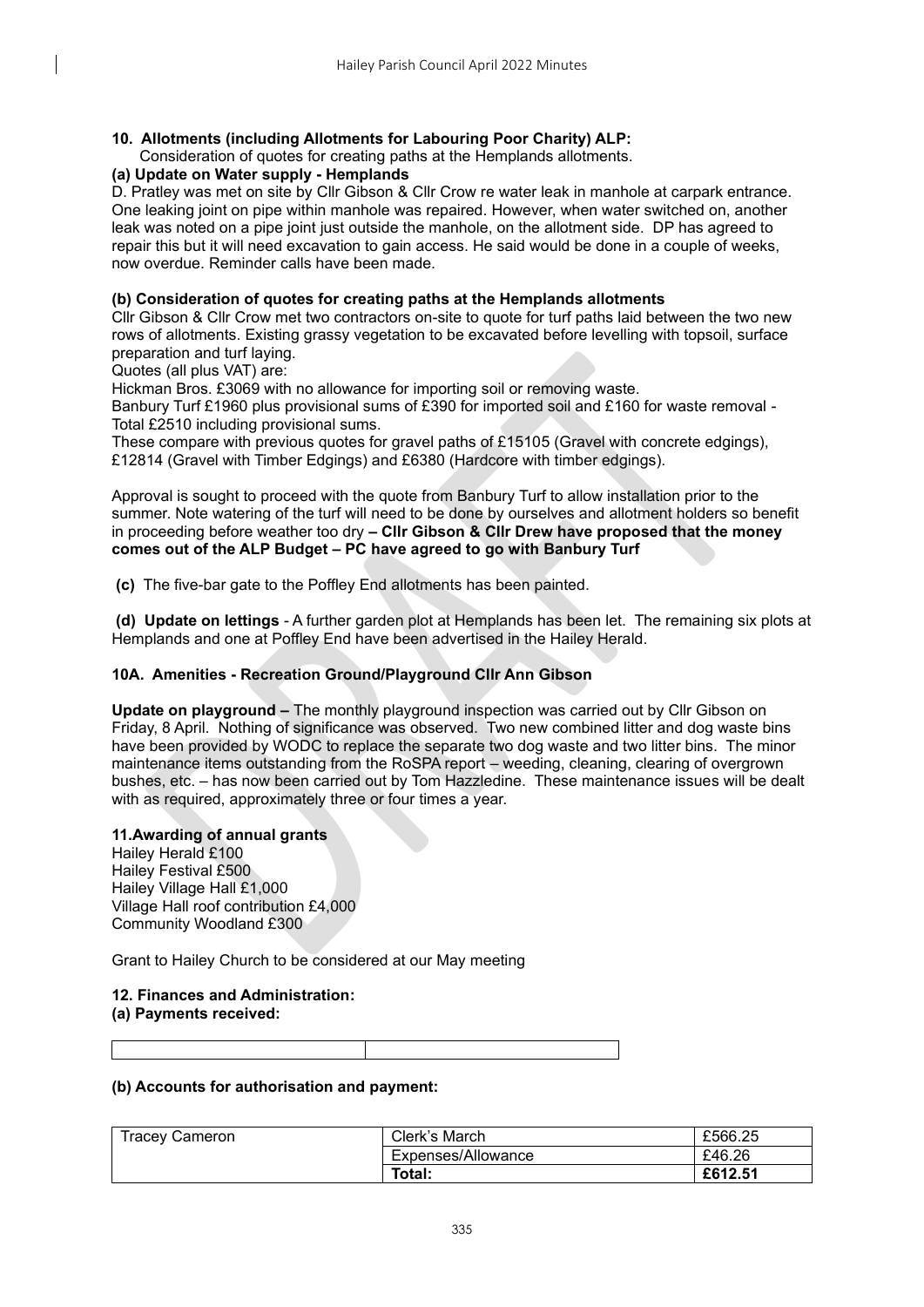## **10. Allotments (including Allotments for Labouring Poor Charity) ALP:**

#### Consideration of quotes for creating paths at the Hemplands allotments.

#### **(a) Update on Water supply - Hemplands**

D. Pratley was met on site by Cllr Gibson & Cllr Crow re water leak in manhole at carpark entrance. One leaking joint on pipe within manhole was repaired. However, when water switched on, another leak was noted on a pipe joint just outside the manhole, on the allotment side. DP has agreed to repair this but it will need excavation to gain access. He said would be done in a couple of weeks, now overdue. Reminder calls have been made.

#### **(b) Consideration of quotes for creating paths at the Hemplands allotments**

Cllr Gibson & Cllr Crow met two contractors on-site to quote for turf paths laid between the two new rows of allotments. Existing grassy vegetation to be excavated before levelling with topsoil, surface preparation and turf laying.

Quotes (all plus VAT) are:

Hickman Bros. £3069 with no allowance for importing soil or removing waste.

Banbury Turf £1960 plus provisional sums of £390 for imported soil and £160 for waste removal - Total £2510 including provisional sums.

These compare with previous quotes for gravel paths of £15105 (Gravel with concrete edgings), £12814 (Gravel with Timber Edgings) and £6380 (Hardcore with timber edgings).

Approval is sought to proceed with the quote from Banbury Turf to allow installation prior to the summer. Note watering of the turf will need to be done by ourselves and allotment holders so benefit in proceeding before weather too dry **– Cllr Gibson & Cllr Drew have proposed that the money comes out of the ALP Budget – PC have agreed to go with Banbury Turf**

**(c)** The five-bar gate to the Poffley End allotments has been painted.

**(d) Update on lettings** - A further garden plot at Hemplands has been let. The remaining six plots at Hemplands and one at Poffley End have been advertised in the Hailey Herald.

#### **10A. Amenities - Recreation Ground/Playground Cllr Ann Gibson**

**Update on playground –** The monthly playground inspection was carried out by Cllr Gibson on Friday, 8 April. Nothing of significance was observed. Two new combined litter and dog waste bins have been provided by WODC to replace the separate two dog waste and two litter bins. The minor maintenance items outstanding from the RoSPA report – weeding, cleaning, clearing of overgrown bushes, etc. – has now been carried out by Tom Hazzledine. These maintenance issues will be dealt with as required, approximately three or four times a year.

#### **11.Awarding of annual grants**

Hailey Herald £100 Hailey Festival £500 Hailey Village Hall £1,000 Village Hall roof contribution £4,000 Community Woodland £300

Grant to Hailey Church to be considered at our May meeting

#### **12. Finances and Administration: (a) Payments received:**

## **(b) Accounts for authorisation and payment:**

| <b>Tracey Cameron</b> | Clerk's March      | £566.25 |
|-----------------------|--------------------|---------|
|                       | Expenses/Allowance | £46.26  |
|                       | Total:             | £612.51 |